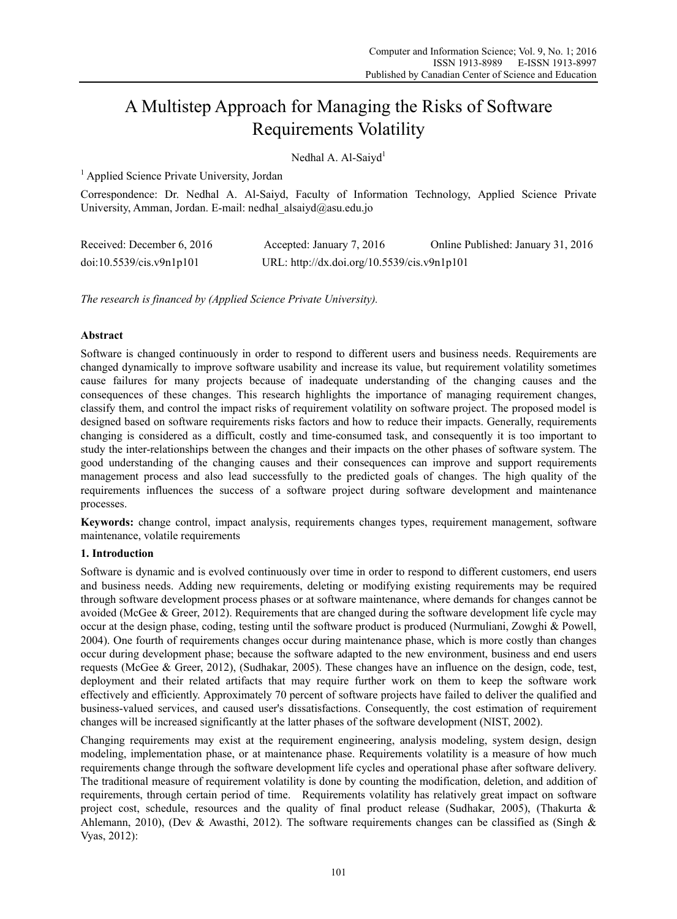# A Multistep Approach for Managing the Risks of Software Requirements Volatility

Nedhal A. Al-Saiyd<sup>1</sup>

<sup>1</sup> Applied Science Private University, Jordan

Correspondence: Dr. Nedhal A. Al-Saiyd, Faculty of Information Technology, Applied Science Private University, Amman, Jordan. E-mail: nedhal\_alsaiyd@asu.edu.jo

| Received: December 6, 2016 | Accepted: January 7, 2016                   | Online Published: January 31, 2016 |
|----------------------------|---------------------------------------------|------------------------------------|
| doi:10.5539/cis.v9n1p101   | URL: http://dx.doi.org/10.5539/cis.v9n1p101 |                                    |

*The research is financed by (Applied Science Private University).*

# **Abstract**

Software is changed continuously in order to respond to different users and business needs. Requirements are changed dynamically to improve software usability and increase its value, but requirement volatility sometimes cause failures for many projects because of inadequate understanding of the changing causes and the consequences of these changes. This research highlights the importance of managing requirement changes, classify them, and control the impact risks of requirement volatility on software project. The proposed model is designed based on software requirements risks factors and how to reduce their impacts. Generally, requirements changing is considered as a difficult, costly and time-consumed task, and consequently it is too important to study the inter-relationships between the changes and their impacts on the other phases of software system. The good understanding of the changing causes and their consequences can improve and support requirements management process and also lead successfully to the predicted goals of changes. The high quality of the requirements influences the success of a software project during software development and maintenance processes.

**Keywords:** change control, impact analysis, requirements changes types, requirement management, software maintenance, volatile requirements

#### **1. Introduction**

Software is dynamic and is evolved continuously over time in order to respond to different customers, end users and business needs. Adding new requirements, deleting or modifying existing requirements may be required through software development process phases or at software maintenance, where demands for changes cannot be avoided (McGee & Greer, 2012). Requirements that are changed during the software development life cycle may occur at the design phase, coding, testing until the software product is produced (Nurmuliani, Zowghi & Powell, 2004). One fourth of requirements changes occur during maintenance phase, which is more costly than changes occur during development phase; because the software adapted to the new environment, business and end users requests (McGee & Greer, 2012), (Sudhakar, 2005). These changes have an influence on the design, code, test, deployment and their related artifacts that may require further work on them to keep the software work effectively and efficiently. Approximately 70 percent of software projects have failed to deliver the qualified and business-valued services, and caused user's dissatisfactions. Consequently, the cost estimation of requirement changes will be increased significantly at the latter phases of the software development (NIST, 2002).

Changing requirements may exist at the requirement engineering, analysis modeling, system design, design modeling, implementation phase, or at maintenance phase. Requirements volatility is a measure of how much requirements change through the software development life cycles and operational phase after software delivery. The traditional measure of requirement volatility is done by counting the modification, deletion, and addition of requirements, through certain period of time. Requirements volatility has relatively great impact on software project cost, schedule, resources and the quality of final product release (Sudhakar, 2005), (Thakurta & Ahlemann, 2010), (Dev & Awasthi, 2012). The software requirements changes can be classified as (Singh & Vyas, 2012):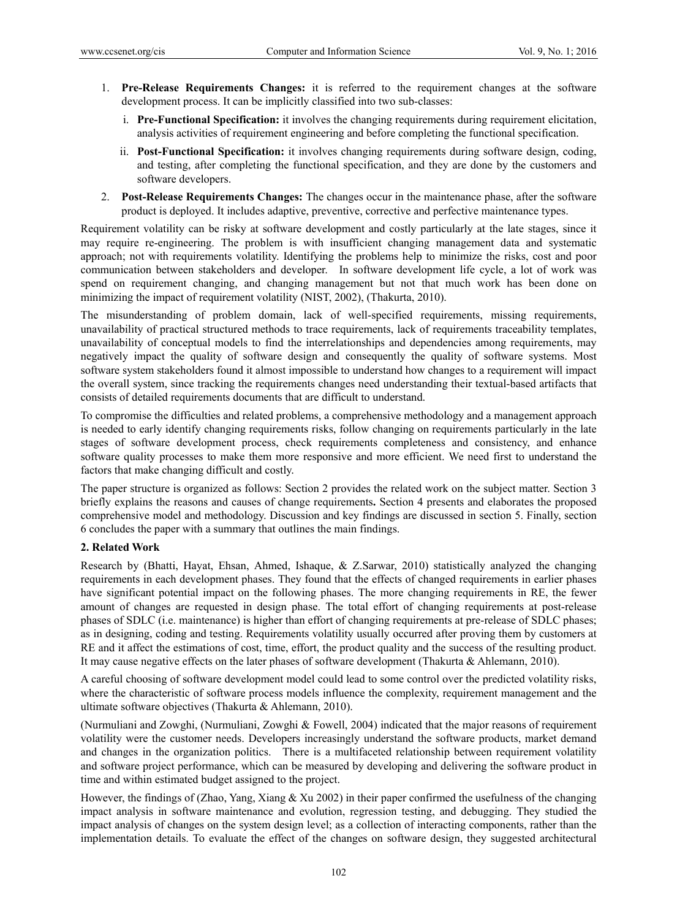- 1. **Pre-Release Requirements Changes:** it is referred to the requirement changes at the software development process. It can be implicitly classified into two sub-classes:
	- i. **Pre-Functional Specification:** it involves the changing requirements during requirement elicitation, analysis activities of requirement engineering and before completing the functional specification.
	- ii. **Post-Functional Specification:** it involves changing requirements during software design, coding, and testing, after completing the functional specification, and they are done by the customers and software developers.
- 2. **Post-Release Requirements Changes:** The changes occur in the maintenance phase, after the software product is deployed. It includes adaptive, preventive, corrective and perfective maintenance types.

Requirement volatility can be risky at software development and costly particularly at the late stages, since it may require re-engineering. The problem is with insufficient changing management data and systematic approach; not with requirements volatility. Identifying the problems help to minimize the risks, cost and poor communication between stakeholders and developer. In software development life cycle, a lot of work was spend on requirement changing, and changing management but not that much work has been done on minimizing the impact of requirement volatility (NIST, 2002), (Thakurta, 2010).

The misunderstanding of problem domain, lack of well-specified requirements, missing requirements, unavailability of practical structured methods to trace requirements, lack of requirements traceability templates, unavailability of conceptual models to find the interrelationships and dependencies among requirements, may negatively impact the quality of software design and consequently the quality of software systems. Most software system stakeholders found it almost impossible to understand how changes to a requirement will impact the overall system, since tracking the requirements changes need understanding their textual-based artifacts that consists of detailed requirements documents that are difficult to understand.

To compromise the difficulties and related problems, a comprehensive methodology and a management approach is needed to early identify changing requirements risks, follow changing on requirements particularly in the late stages of software development process, check requirements completeness and consistency, and enhance software quality processes to make them more responsive and more efficient. We need first to understand the factors that make changing difficult and costly.

The paper structure is organized as follows: Section 2 provides the related work on the subject matter. Section 3 briefly explains the reasons and causes of change requirements**.** Section 4 presents and elaborates the proposed comprehensive model and methodology. Discussion and key findings are discussed in section 5. Finally, section 6 concludes the paper with a summary that outlines the main findings.

# **2. Related Work**

Research by (Bhatti, Hayat, Ehsan, Ahmed, Ishaque, & Z.Sarwar, 2010) statistically analyzed the changing requirements in each development phases. They found that the effects of changed requirements in earlier phases have significant potential impact on the following phases. The more changing requirements in RE, the fewer amount of changes are requested in design phase. The total effort of changing requirements at post-release phases of SDLC (i.e. maintenance) is higher than effort of changing requirements at pre-release of SDLC phases; as in designing, coding and testing. Requirements volatility usually occurred after proving them by customers at RE and it affect the estimations of cost, time, effort, the product quality and the success of the resulting product. It may cause negative effects on the later phases of software development (Thakurta & Ahlemann, 2010).

A careful choosing of software development model could lead to some control over the predicted volatility risks, where the characteristic of software process models influence the complexity, requirement management and the ultimate software objectives (Thakurta & Ahlemann, 2010).

(Nurmuliani and Zowghi, (Nurmuliani, Zowghi & Fowell, 2004) indicated that the major reasons of requirement volatility were the customer needs. Developers increasingly understand the software products, market demand and changes in the organization politics. There is a multifaceted relationship between requirement volatility and software project performance, which can be measured by developing and delivering the software product in time and within estimated budget assigned to the project.

However, the findings of (Zhao, Yang, Xiang & Xu 2002) in their paper confirmed the usefulness of the changing impact analysis in software maintenance and evolution, regression testing, and debugging. They studied the impact analysis of changes on the system design level; as a collection of interacting components, rather than the implementation details. To evaluate the effect of the changes on software design, they suggested architectural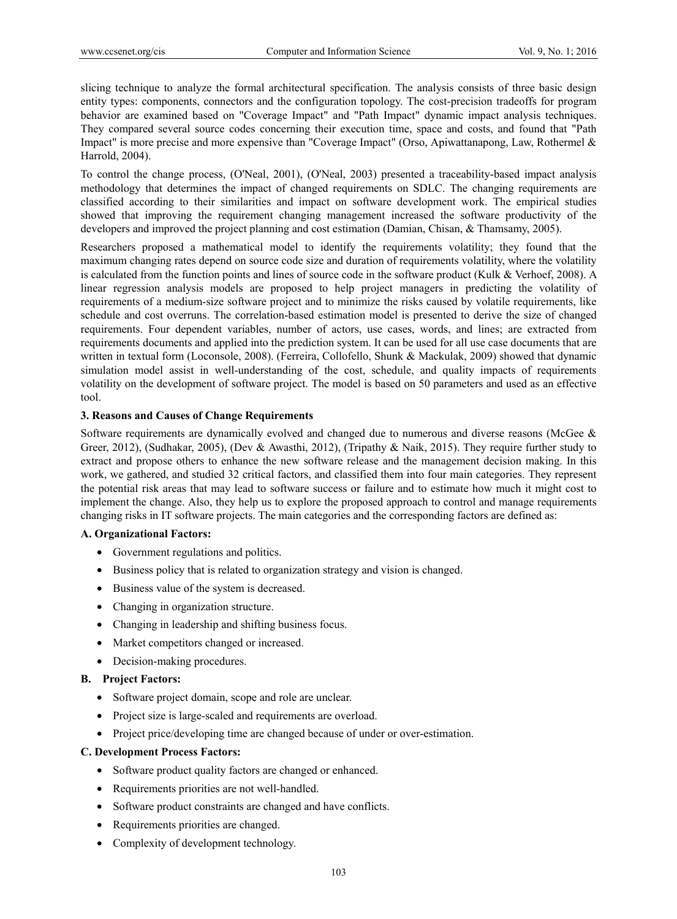slicing technique to analyze the formal architectural specification. The analysis consists of three basic design entity types: components, connectors and the configuration topology. The cost-precision tradeoffs for program behavior are examined based on "Coverage Impact" and "Path Impact" dynamic impact analysis techniques. They compared several source codes concerning their execution time, space and costs, and found that "Path Impact" is more precise and more expensive than "Coverage Impact" (Orso, Apiwattanapong, Law, Rothermel & Harrold, 2004).

To control the change process, (O'Neal, 2001), (O'Neal, 2003) presented a traceability-based impact analysis methodology that determines the impact of changed requirements on SDLC. The changing requirements are classified according to their similarities and impact on software development work. The empirical studies showed that improving the requirement changing management increased the software productivity of the developers and improved the project planning and cost estimation (Damian, Chisan, & Thamsamy, 2005).

Researchers proposed a mathematical model to identify the requirements volatility; they found that the maximum changing rates depend on source code size and duration of requirements volatility, where the volatility is calculated from the function points and lines of source code in the software product (Kulk & Verhoef, 2008). A linear regression analysis models are proposed to help project managers in predicting the volatility of requirements of a medium-size software project and to minimize the risks caused by volatile requirements, like schedule and cost overruns. The correlation-based estimation model is presented to derive the size of changed requirements. Four dependent variables, number of actors, use cases, words, and lines; are extracted from requirements documents and applied into the prediction system. It can be used for all use case documents that are written in textual form (Loconsole, 2008). (Ferreira, Collofello, Shunk & Mackulak, 2009) showed that dynamic simulation model assist in well-understanding of the cost, schedule, and quality impacts of requirements volatility on the development of software project. The model is based on 50 parameters and used as an effective tool.

#### **3. Reasons and Causes of Change Requirements**

Software requirements are dynamically evolved and changed due to numerous and diverse reasons (McGee & Greer, 2012), (Sudhakar, 2005), (Dev & Awasthi, 2012), (Tripathy & Naik, 2015). They require further study to extract and propose others to enhance the new software release and the management decision making. In this work, we gathered, and studied 32 critical factors, and classified them into four main categories. They represent the potential risk areas that may lead to software success or failure and to estimate how much it might cost to implement the change. Also, they help us to explore the proposed approach to control and manage requirements changing risks in IT software projects. The main categories and the corresponding factors are defined as:

#### **A. Organizational Factors:**

- Government regulations and politics.
- Business policy that is related to organization strategy and vision is changed.
- Business value of the system is decreased.
- Changing in organization structure.
- Changing in leadership and shifting business focus.
- Market competitors changed or increased.
- Decision-making procedures.

# **B. Project Factors:**

- Software project domain, scope and role are unclear.
- Project size is large-scaled and requirements are overload.
- Project price/developing time are changed because of under or over-estimation.

#### **C. Development Process Factors:**

- Software product quality factors are changed or enhanced.
- Requirements priorities are not well-handled.
- Software product constraints are changed and have conflicts.
- Requirements priorities are changed.
- Complexity of development technology.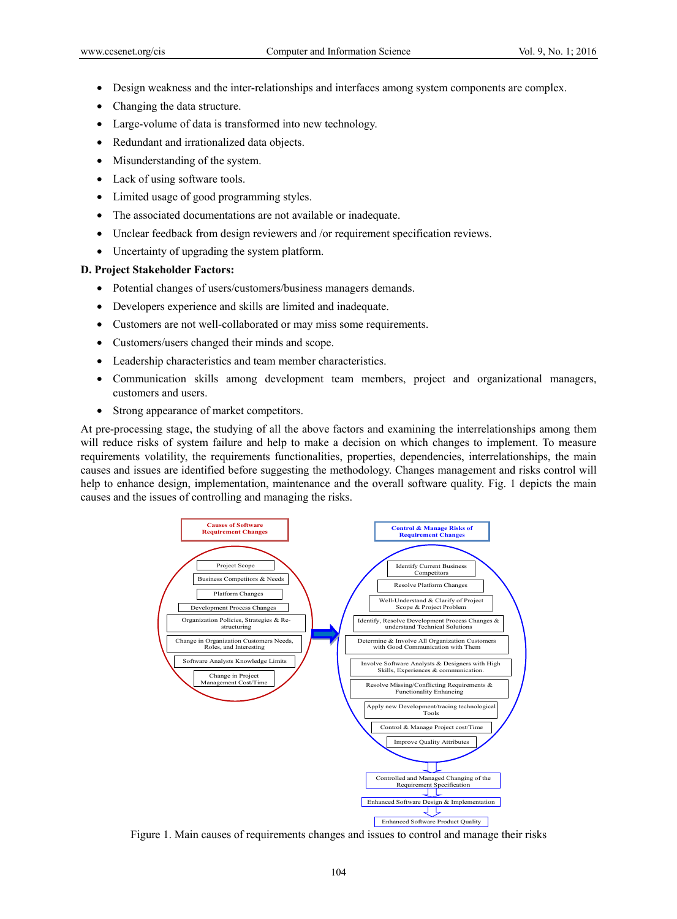- Design weakness and the inter-relationships and interfaces among system components are complex.
- Changing the data structure.
- Large-volume of data is transformed into new technology.
- Redundant and irrationalized data objects.
- Misunderstanding of the system.
- Lack of using software tools.
- Limited usage of good programming styles.
- The associated documentations are not available or inadequate.
- Unclear feedback from design reviewers and /or requirement specification reviews.
- Uncertainty of upgrading the system platform.

## **D. Project Stakeholder Factors:**

- Potential changes of users/customers/business managers demands.
- Developers experience and skills are limited and inadequate.
- Customers are not well-collaborated or may miss some requirements.
- Customers/users changed their minds and scope.
- Leadership characteristics and team member characteristics.
- Communication skills among development team members, project and organizational managers, customers and users.
- Strong appearance of market competitors.

At pre-processing stage, the studying of all the above factors and examining the interrelationships among them will reduce risks of system failure and help to make a decision on which changes to implement. To measure requirements volatility, the requirements functionalities, properties, dependencies, interrelationships, the main causes and issues are identified before suggesting the methodology. Changes management and risks control will help to enhance design, implementation, maintenance and the overall software quality. Fig. 1 depicts the main causes and the issues of controlling and managing the risks.



Figure 1. Main causes of requirements changes and issues to control and manage their risks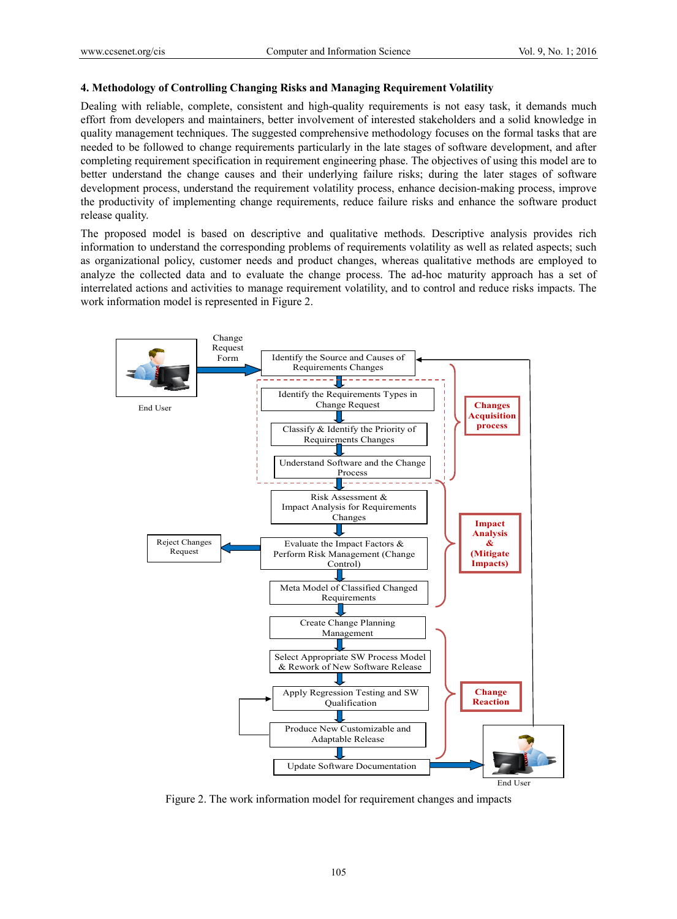#### **4. Methodology of Controlling Changing Risks and Managing Requirement Volatility**

Dealing with reliable, complete, consistent and high-quality requirements is not easy task, it demands much effort from developers and maintainers, better involvement of interested stakeholders and a solid knowledge in quality management techniques. The suggested comprehensive methodology focuses on the formal tasks that are needed to be followed to change requirements particularly in the late stages of software development, and after completing requirement specification in requirement engineering phase. The objectives of using this model are to better understand the change causes and their underlying failure risks; during the later stages of software development process, understand the requirement volatility process, enhance decision-making process, improve the productivity of implementing change requirements, reduce failure risks and enhance the software product release quality.

The proposed model is based on descriptive and qualitative methods. Descriptive analysis provides rich information to understand the corresponding problems of requirements volatility as well as related aspects; such as organizational policy, customer needs and product changes, whereas qualitative methods are employed to analyze the collected data and to evaluate the change process. The ad-hoc maturity approach has a set of interrelated actions and activities to manage requirement volatility, and to control and reduce risks impacts. The work information model is represented in Figure 2.



Figure 2. The work information model for requirement changes and impacts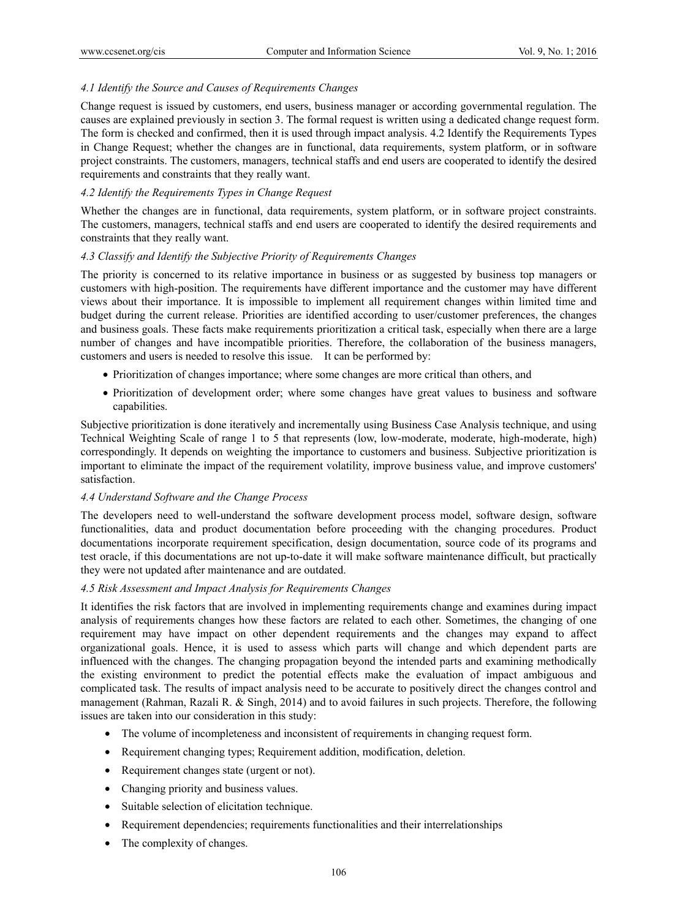## *4.1 Identify the Source and Causes of Requirements Changes*

Change request is issued by customers, end users, business manager or according governmental regulation. The causes are explained previously in section 3. The formal request is written using a dedicated change request form. The form is checked and confirmed, then it is used through impact analysis. 4.2 Identify the Requirements Types in Change Request; whether the changes are in functional, data requirements, system platform, or in software project constraints. The customers, managers, technical staffs and end users are cooperated to identify the desired requirements and constraints that they really want.

# *4.2 Identify the Requirements Types in Change Request*

Whether the changes are in functional, data requirements, system platform, or in software project constraints. The customers, managers, technical staffs and end users are cooperated to identify the desired requirements and constraints that they really want.

# *4.3 Classify and Identify the Subjective Priority of Requirements Changes*

The priority is concerned to its relative importance in business or as suggested by business top managers or customers with high-position. The requirements have different importance and the customer may have different views about their importance. It is impossible to implement all requirement changes within limited time and budget during the current release. Priorities are identified according to user/customer preferences, the changes and business goals. These facts make requirements prioritization a critical task, especially when there are a large number of changes and have incompatible priorities. Therefore, the collaboration of the business managers, customers and users is needed to resolve this issue. It can be performed by:

- Prioritization of changes importance; where some changes are more critical than others, and
- Prioritization of development order; where some changes have great values to business and software capabilities.

Subjective prioritization is done iteratively and incrementally using Business Case Analysis technique, and using Technical Weighting Scale of range 1 to 5 that represents (low, low-moderate, moderate, high-moderate, high) correspondingly. It depends on weighting the importance to customers and business. Subjective prioritization is important to eliminate the impact of the requirement volatility, improve business value, and improve customers' satisfaction.

# *4.4 Understand Software and the Change Process*

The developers need to well-understand the software development process model, software design, software functionalities, data and product documentation before proceeding with the changing procedures. Product documentations incorporate requirement specification, design documentation, source code of its programs and test oracle, if this documentations are not up-to-date it will make software maintenance difficult, but practically they were not updated after maintenance and are outdated.

#### *4.5 Risk Assessment and Impact Analysis for Requirements Changes*

It identifies the risk factors that are involved in implementing requirements change and examines during impact analysis of requirements changes how these factors are related to each other. Sometimes, the changing of one requirement may have impact on other dependent requirements and the changes may expand to affect organizational goals. Hence, it is used to assess which parts will change and which dependent parts are influenced with the changes. The changing propagation beyond the intended parts and examining methodically the existing environment to predict the potential effects make the evaluation of impact ambiguous and complicated task. The results of impact analysis need to be accurate to positively direct the changes control and management (Rahman, Razali R. & Singh, 2014) and to avoid failures in such projects. Therefore, the following issues are taken into our consideration in this study:

- The volume of incompleteness and inconsistent of requirements in changing request form.
- Requirement changing types; Requirement addition, modification, deletion.
- Requirement changes state (urgent or not).
- Changing priority and business values.
- Suitable selection of elicitation technique.
- Requirement dependencies; requirements functionalities and their interrelationships
- The complexity of changes.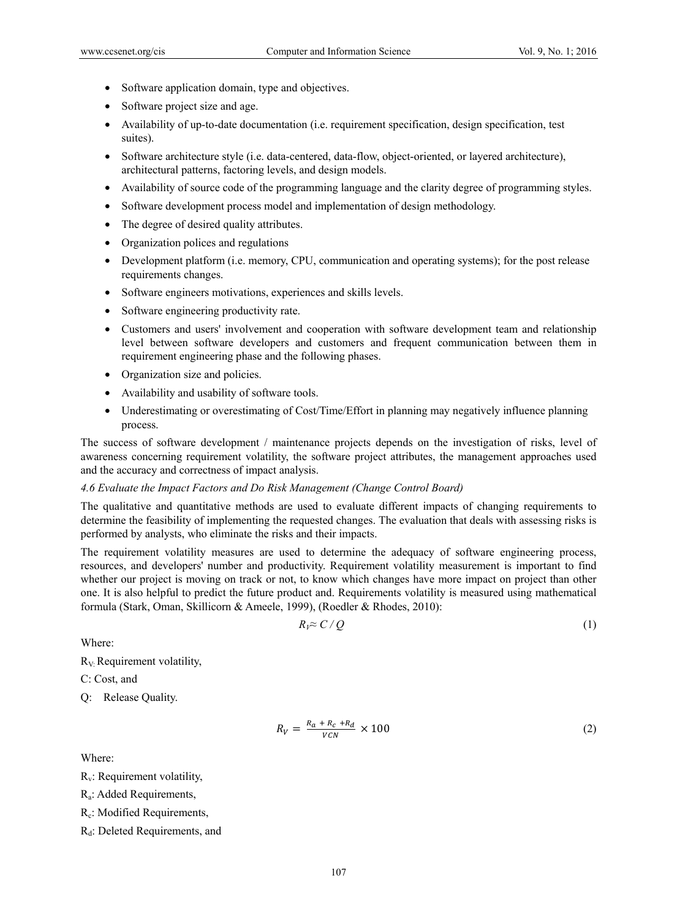- Software application domain, type and objectives.
- Software project size and age.
- Availability of up-to-date documentation (i.e. requirement specification, design specification, test suites).
- Software architecture style (i.e. data-centered, data-flow, object-oriented, or layered architecture), architectural patterns, factoring levels, and design models.
- Availability of source code of the programming language and the clarity degree of programming styles.
- Software development process model and implementation of design methodology.
- The degree of desired quality attributes.
- Organization polices and regulations
- Development platform (i.e. memory, CPU, communication and operating systems); for the post release requirements changes.
- Software engineers motivations, experiences and skills levels.
- Software engineering productivity rate.
- Customers and users' involvement and cooperation with software development team and relationship level between software developers and customers and frequent communication between them in requirement engineering phase and the following phases.
- Organization size and policies.
- Availability and usability of software tools.
- Underestimating or overestimating of Cost/Time/Effort in planning may negatively influence planning process.

The success of software development / maintenance projects depends on the investigation of risks, level of awareness concerning requirement volatility, the software project attributes, the management approaches used and the accuracy and correctness of impact analysis.

# *4.6 Evaluate the Impact Factors and Do Risk Management (Change Control Board)*

The qualitative and quantitative methods are used to evaluate different impacts of changing requirements to determine the feasibility of implementing the requested changes. The evaluation that deals with assessing risks is performed by analysts, who eliminate the risks and their impacts.

The requirement volatility measures are used to determine the adequacy of software engineering process, resources, and developers' number and productivity. Requirement volatility measurement is important to find whether our project is moving on track or not, to know which changes have more impact on project than other one. It is also helpful to predict the future product and. Requirements volatility is measured using mathematical formula (Stark, Oman, Skillicorn & Ameele, 1999), (Roedler & Rhodes, 2010):

$$
R_{V} \approx C/Q \tag{1}
$$

Where:

RV: Requirement volatility,

C: Cost, and

Q: Release Quality.

$$
R_V = \frac{R_a + R_c + R_d}{VCN} \times 100\tag{2}
$$

Where:

Rv: Requirement volatility,

Ra: Added Requirements,

R<sub>c</sub>: Modified Requirements,

R<sub>d</sub>: Deleted Requirements, and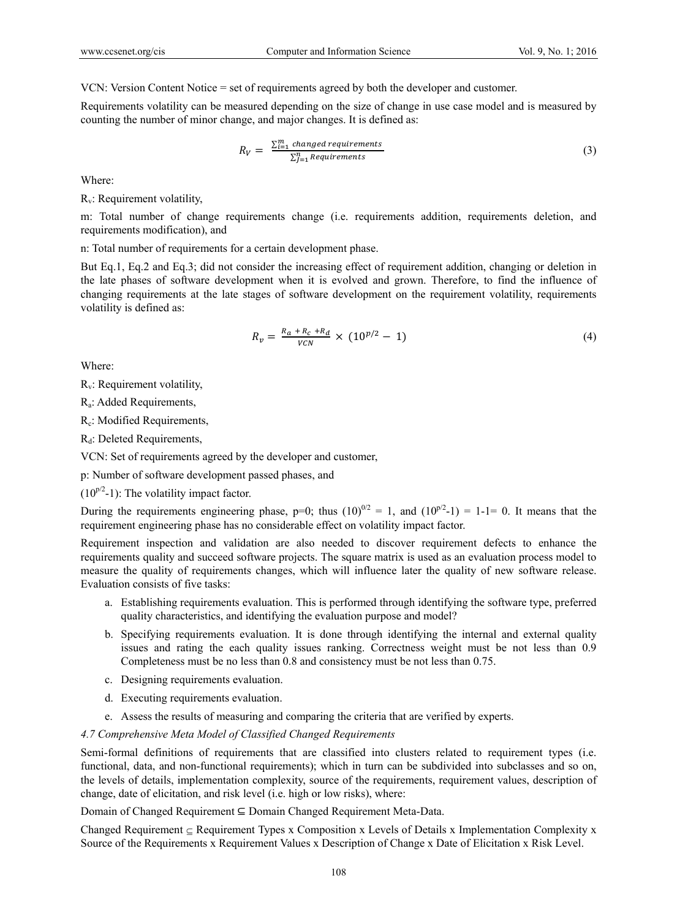VCN: Version Content Notice = set of requirements agreed by both the developer and customer.

Requirements volatility can be measured depending on the size of change in use case model and is measured by counting the number of minor change, and major changes. It is defined as:

$$
R_V = \frac{\sum_{i=1}^{m} changed requirements}{\sum_{j=1}^{n} Requirements}
$$
 (3)

Where:

 $R_v$ : Requirement volatility,

m: Total number of change requirements change (i.e. requirements addition, requirements deletion, and requirements modification), and

n: Total number of requirements for a certain development phase.

But Eq.1, Eq.2 and Eq.3; did not consider the increasing effect of requirement addition, changing or deletion in the late phases of software development when it is evolved and grown. Therefore, to find the influence of changing requirements at the late stages of software development on the requirement volatility, requirements volatility is defined as:

$$
R_v = \frac{R_a + R_c + R_d}{V C N} \times (10^{p/2} - 1) \tag{4}
$$

Where:

Rv: Requirement volatility,

Ra: Added Requirements,

R<sub>c</sub>: Modified Requirements,

R<sub>d</sub>: Deleted Requirements,

VCN: Set of requirements agreed by the developer and customer,

p: Number of software development passed phases, and

 $(10^{p/2}-1)$ : The volatility impact factor.

During the requirements engineering phase,  $p=0$ ; thus  $(10)^{0/2} = 1$ , and  $(10)^{p/2}-1$  = 1-1= 0. It means that the requirement engineering phase has no considerable effect on volatility impact factor.

Requirement inspection and validation are also needed to discover requirement defects to enhance the requirements quality and succeed software projects. The square matrix is used as an evaluation process model to measure the quality of requirements changes, which will influence later the quality of new software release. Evaluation consists of five tasks:

- a. Establishing requirements evaluation. This is performed through identifying the software type, preferred quality characteristics, and identifying the evaluation purpose and model?
- b. Specifying requirements evaluation. It is done through identifying the internal and external quality issues and rating the each quality issues ranking. Correctness weight must be not less than 0.9 Completeness must be no less than 0.8 and consistency must be not less than 0.75.
- c. Designing requirements evaluation.
- d. Executing requirements evaluation.
- e. Assess the results of measuring and comparing the criteria that are verified by experts.

#### *4.7 Comprehensive Meta Model of Classified Changed Requirements*

Semi-formal definitions of requirements that are classified into clusters related to requirement types (i.e. functional, data, and non-functional requirements); which in turn can be subdivided into subclasses and so on, the levels of details, implementation complexity, source of the requirements, requirement values, description of change, date of elicitation, and risk level (i.e. high or low risks), where:

Domain of Changed Requirement ⊆ Domain Changed Requirement Meta-Data.

Changed Requirement  $\subseteq$  Requirement Types x Composition x Levels of Details x Implementation Complexity x Source of the Requirements x Requirement Values x Description of Change x Date of Elicitation x Risk Level.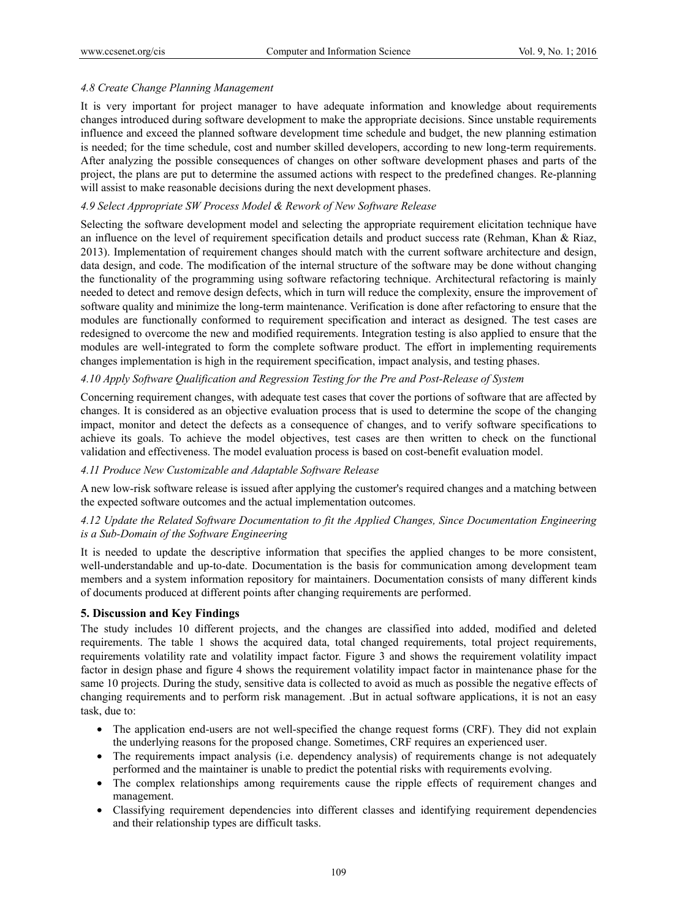# *4.8 Create Change Planning Management*

It is very important for project manager to have adequate information and knowledge about requirements changes introduced during software development to make the appropriate decisions. Since unstable requirements influence and exceed the planned software development time schedule and budget, the new planning estimation is needed; for the time schedule, cost and number skilled developers, according to new long-term requirements. After analyzing the possible consequences of changes on other software development phases and parts of the project, the plans are put to determine the assumed actions with respect to the predefined changes. Re-planning will assist to make reasonable decisions during the next development phases.

# *4.9 Select Appropriate SW Process Model & Rework of New Software Release*

Selecting the software development model and selecting the appropriate requirement elicitation technique have an influence on the level of requirement specification details and product success rate (Rehman, Khan & Riaz, 2013). Implementation of requirement changes should match with the current software architecture and design, data design, and code. The modification of the internal structure of the software may be done without changing the functionality of the programming using software refactoring technique. Architectural refactoring is mainly needed to detect and remove design defects, which in turn will reduce the complexity, ensure the improvement of software quality and minimize the long-term maintenance. Verification is done after refactoring to ensure that the modules are functionally conformed to requirement specification and interact as designed. The test cases are redesigned to overcome the new and modified requirements. Integration testing is also applied to ensure that the modules are well-integrated to form the complete software product. The effort in implementing requirements changes implementation is high in the requirement specification, impact analysis, and testing phases.

# *4.10 Apply Software Qualification and Regression Testing for the Pre and Post-Release of System*

Concerning requirement changes, with adequate test cases that cover the portions of software that are affected by changes. It is considered as an objective evaluation process that is used to determine the scope of the changing impact, monitor and detect the defects as a consequence of changes, and to verify software specifications to achieve its goals. To achieve the model objectives, test cases are then written to check on the functional validation and effectiveness. The model evaluation process is based on cost-benefit evaluation model.

#### *4.11 Produce New Customizable and Adaptable Software Release*

A new low-risk software release is issued after applying the customer's required changes and a matching between the expected software outcomes and the actual implementation outcomes.

#### *4.12 Update the Related Software Documentation to fit the Applied Changes, Since Documentation Engineering is a Sub-Domain of the Software Engineering*

It is needed to update the descriptive information that specifies the applied changes to be more consistent, well-understandable and up-to-date. Documentation is the basis for communication among development team members and a system information repository for maintainers. Documentation consists of many different kinds of documents produced at different points after changing requirements are performed.

#### **5. Discussion and Key Findings**

The study includes 10 different projects, and the changes are classified into added, modified and deleted requirements. The table 1 shows the acquired data, total changed requirements, total project requirements, requirements volatility rate and volatility impact factor. Figure 3 and shows the requirement volatility impact factor in design phase and figure 4 shows the requirement volatility impact factor in maintenance phase for the same 10 projects. During the study, sensitive data is collected to avoid as much as possible the negative effects of changing requirements and to perform risk management. .But in actual software applications, it is not an easy task, due to:

- The application end-users are not well-specified the change request forms (CRF). They did not explain the underlying reasons for the proposed change. Sometimes, CRF requires an experienced user.
- The requirements impact analysis (i.e. dependency analysis) of requirements change is not adequately performed and the maintainer is unable to predict the potential risks with requirements evolving.
- The complex relationships among requirements cause the ripple effects of requirement changes and management.
- Classifying requirement dependencies into different classes and identifying requirement dependencies and their relationship types are difficult tasks.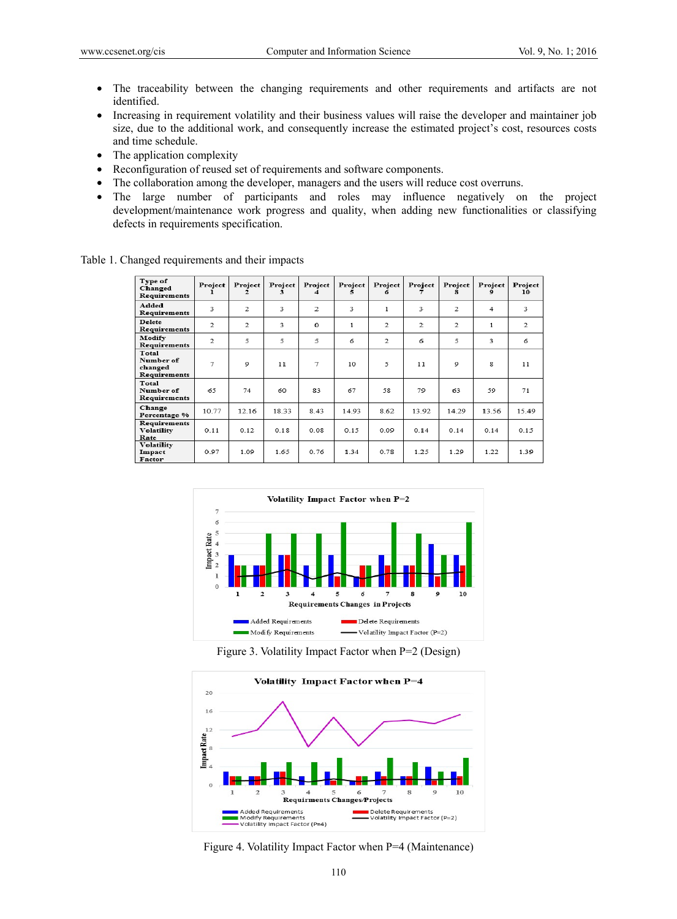- The traceability between the changing requirements and other requirements and artifacts are not identified.
- Increasing in requirement volatility and their business values will raise the developer and maintainer job size, due to the additional work, and consequently increase the estimated project's cost, resources costs and time schedule.
- The application complexity
- Reconfiguration of reused set of requirements and software components.
- The collaboration among the developer, managers and the users will reduce cost overruns.
- The large number of participants and roles may influence negatively on the project development/maintenance work progress and quality, when adding new functionalities or classifying defects in requirements specification.

Table 1. Changed requirements and their impacts

| Type of<br>Changed<br>Requirements            | Project<br>ı   | Project<br>2   | Project<br>3 | Project<br>4   | Project<br>5 | Project<br>6   | Project | Project<br>я   | Project<br>9   | Project<br>10  |
|-----------------------------------------------|----------------|----------------|--------------|----------------|--------------|----------------|---------|----------------|----------------|----------------|
| Added<br>Requirements                         | 3              | $\overline{2}$ | 3            | $\overline{2}$ | 3            | 1              | 3       | $\overline{2}$ | $\overline{4}$ | 3              |
| <b>Delete</b><br>Requirements                 | $\overline{2}$ | 2              | 3            | $\mathbf 0$    | $\mathbf{1}$ | $\overline{c}$ | 2       | $\overline{2}$ | $\mathbf{1}$   | $\overline{c}$ |
| Modify<br>Requirements                        | $\overline{c}$ | 5              | 5            | 5              | 6            | $\overline{c}$ | 6       | 5              | 3              | 6              |
| Total<br>Number of<br>changed<br>Requirements | 7              | 9              | 11           | 7              | 10           | 5              | 11      | 9              | 8              | 11             |
| Total<br>Number of<br>Requirements            | 65             | 74             | 60           | 83             | 67           | 58             | 79      | 63             | 59             | 71             |
| Change<br>Percentage %                        | 10.77          | 12.16          | 18.33        | 8.43           | 14.93        | 8.62           | 13.92   | 14.29          | 13.56          | 15.49          |
| Requirements<br><b>Volatility</b><br>Rate     | 0.11           | 0.12           | 0.18         | 0.08           | 0.15         | 0.09           | 0.14    | 0.14           | 0.14           | 0.15           |
| <b>Volatility</b><br>Impact<br>Factor         | 0.97           | 1.09           | 1.65         | 0.76           | 1.34         | 0.78           | 1.25    | 1.29           | 1.22           | 1.39           |



Figure 3. Volatility Impact Factor when P=2 (Design)



Figure 4. Volatility Impact Factor when P=4 (Maintenance)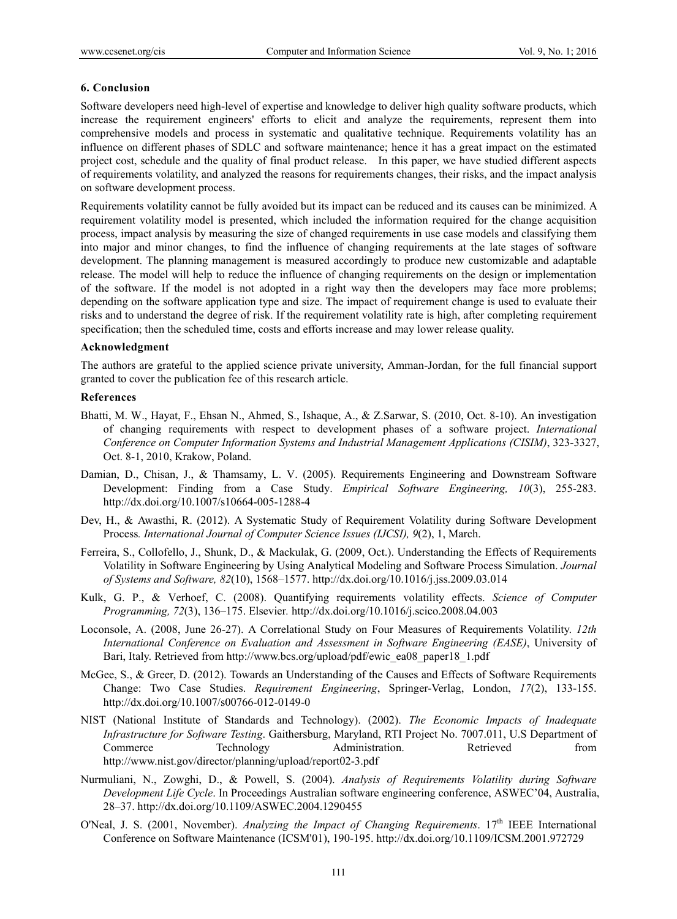#### **6. Conclusion**

Software developers need high-level of expertise and knowledge to deliver high quality software products, which increase the requirement engineers' efforts to elicit and analyze the requirements, represent them into comprehensive models and process in systematic and qualitative technique. Requirements volatility has an influence on different phases of SDLC and software maintenance; hence it has a great impact on the estimated project cost, schedule and the quality of final product release. In this paper, we have studied different aspects of requirements volatility, and analyzed the reasons for requirements changes, their risks, and the impact analysis on software development process.

Requirements volatility cannot be fully avoided but its impact can be reduced and its causes can be minimized. A requirement volatility model is presented, which included the information required for the change acquisition process, impact analysis by measuring the size of changed requirements in use case models and classifying them into major and minor changes, to find the influence of changing requirements at the late stages of software development. The planning management is measured accordingly to produce new customizable and adaptable release. The model will help to reduce the influence of changing requirements on the design or implementation of the software. If the model is not adopted in a right way then the developers may face more problems; depending on the software application type and size. The impact of requirement change is used to evaluate their risks and to understand the degree of risk. If the requirement volatility rate is high, after completing requirement specification; then the scheduled time, costs and efforts increase and may lower release quality.

#### **Acknowledgment**

The authors are grateful to the applied science private university, Amman-Jordan, for the full financial support granted to cover the publication fee of this research article.

#### **References**

- Bhatti, M. W., Hayat, F., Ehsan N., Ahmed, S., Ishaque, A., & Z.Sarwar, S. (2010, Oct. 8-10). An investigation of changing requirements with respect to development phases of a software project. *International Conference on Computer Information Systems and Industrial Management Applications (CISIM)*, 323-3327, Oct. 8-1, 2010, Krakow, Poland.
- Damian, D., Chisan, J., & Thamsamy, L. V. (2005). Requirements Engineering and Downstream Software Development: Finding from a Case Study. *Empirical Software Engineering, 10*(3), 255-283. http://dx.doi.org/10.1007/s10664-005-1288-4
- Dev, H., & Awasthi, R. (2012). A Systematic Study of Requirement Volatility during Software Development Process*. International Journal of Computer Science Issues (IJCSI), 9*(2), 1, March.
- Ferreira, S., Collofello, J., Shunk, D., & Mackulak, G. (2009, Oct.). Understanding the Effects of Requirements Volatility in Software Engineering by Using Analytical Modeling and Software Process Simulation. *Journal of Systems and Software, 82*(10), 1568–1577. http://dx.doi.org/10.1016/j.jss.2009.03.014
- Kulk, G. P., & Verhoef, C. (2008). Quantifying requirements volatility effects. *Science of Computer Programming, 72*(3), 136–175. Elsevier*.* http://dx.doi.org/10.1016/j.scico.2008.04.003
- Loconsole, A. (2008, June 26-27). A Correlational Study on Four Measures of Requirements Volatility. *12th International Conference on Evaluation and Assessment in Software Engineering (EASE)*, University of Bari, Italy. Retrieved from http://www.bcs.org/upload/pdf/ewic\_ea08\_paper18\_1.pdf
- McGee, S., & Greer, D. (2012). Towards an Understanding of the Causes and Effects of Software Requirements Change: Two Case Studies. *Requirement Engineering*, Springer-Verlag, London, *17*(2), 133-155. http://dx.doi.org/10.1007/s00766-012-0149-0
- NIST (National Institute of Standards and Technology). (2002). *The Economic Impacts of Inadequate Infrastructure for Software Testing*. Gaithersburg, Maryland, RTI Project No. 7007.011, U.S Department of Commerce Technology Administration. Retrieved from http://www.nist.gov/director/planning/upload/report02-3.pdf
- Nurmuliani, N., Zowghi, D., & Powell, S. (2004). *Analysis of Requirements Volatility during Software Development Life Cycle*. In Proceedings Australian software engineering conference, ASWEC'04, Australia, 28–37. http://dx.doi.org/10.1109/ASWEC.2004.1290455
- O'Neal, J. S. (2001, November). *Analyzing the Impact of Changing Requirements*. 17<sup>th</sup> IEEE International Conference on Software Maintenance (ICSM'01), 190-195. http://dx.doi.org/10.1109/ICSM.2001.972729